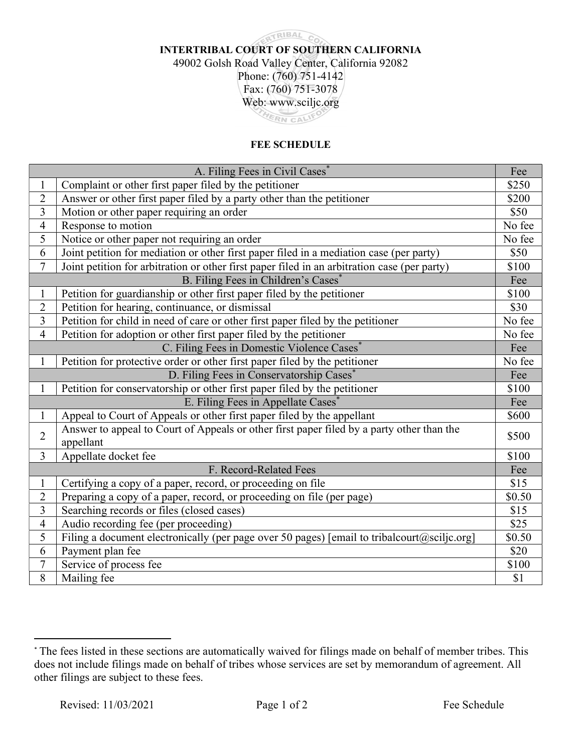## **RTRIBAL CO** INTERTRIBAL COURT OF SOUTHERN CALIFORNIA 49002 Golsh Road Valley Center, California 92082 Phone: (760) 751-4142 Fax: (760) 751-3078 Web: www.sciljc.org HERN CALIFO

## FEE SCHEDULE

| A. Filing Fees in Civil Cases*                 |                                                                                              | Fee    |
|------------------------------------------------|----------------------------------------------------------------------------------------------|--------|
| $\mathbf{1}$                                   | Complaint or other first paper filed by the petitioner                                       | \$250  |
| $\overline{2}$                                 | Answer or other first paper filed by a party other than the petitioner                       | \$200  |
| 3                                              | Motion or other paper requiring an order                                                     | \$50   |
| $\overline{\mathbf{4}}$                        | Response to motion                                                                           | No fee |
| $\overline{5}$                                 | Notice or other paper not requiring an order                                                 | No fee |
| 6                                              | Joint petition for mediation or other first paper filed in a mediation case (per party)      | \$50   |
| $\overline{7}$                                 | Joint petition for arbitration or other first paper filed in an arbitration case (per party) | \$100  |
| B. Filing Fees in Children's Cases*            |                                                                                              |        |
| $\mathbf{1}$                                   | Petition for guardianship or other first paper filed by the petitioner                       | \$100  |
| $\overline{2}$                                 | Petition for hearing, continuance, or dismissal                                              | \$30   |
| 3                                              | Petition for child in need of care or other first paper filed by the petitioner              | No fee |
| $\overline{4}$                                 | Petition for adoption or other first paper filed by the petitioner                           | No fee |
| C. Filing Fees in Domestic Violence Cases*     |                                                                                              | Fee    |
| $\mathbf{1}$                                   | Petition for protective order or other first paper filed by the petitioner                   | No fee |
| D. Filing Fees in Conservatorship Cases*       |                                                                                              | Fee    |
| $\mathbf{1}$                                   | Petition for conservatorship or other first paper filed by the petitioner                    | \$100  |
| E. Filing Fees in Appellate Cases <sup>*</sup> |                                                                                              |        |
| $\mathbf{1}$                                   | Appeal to Court of Appeals or other first paper filed by the appellant                       | \$600  |
| $\overline{2}$                                 | Answer to appeal to Court of Appeals or other first paper filed by a party other than the    | \$500  |
|                                                | appellant                                                                                    |        |
| $\overline{3}$                                 | Appellate docket fee                                                                         | \$100  |
|                                                | F. Record-Related Fees                                                                       | Fee    |
| $\mathbf{1}$                                   | Certifying a copy of a paper, record, or proceeding on file                                  | \$15   |
| $\overline{2}$                                 | Preparing a copy of a paper, record, or proceeding on file (per page)                        | \$0.50 |
| 3                                              | Searching records or files (closed cases)                                                    | \$15   |
| $\overline{4}$                                 | Audio recording fee (per proceeding)                                                         | \$25   |
| $\overline{5}$                                 | Filing a document electronically (per page over 50 pages) [email to tribalcourt@sciljc.org]  | \$0.50 |
| 6                                              | Payment plan fee                                                                             | \$20   |
| $\overline{7}$                                 | Service of process fee                                                                       | \$100  |
| 8                                              | Mailing fee                                                                                  | \$1    |

<sup>\*</sup> The fees listed in these sections are automatically waived for filings made on behalf of member tribes. This does not include filings made on behalf of tribes whose services are set by memorandum of agreement. All other filings are subject to these fees.